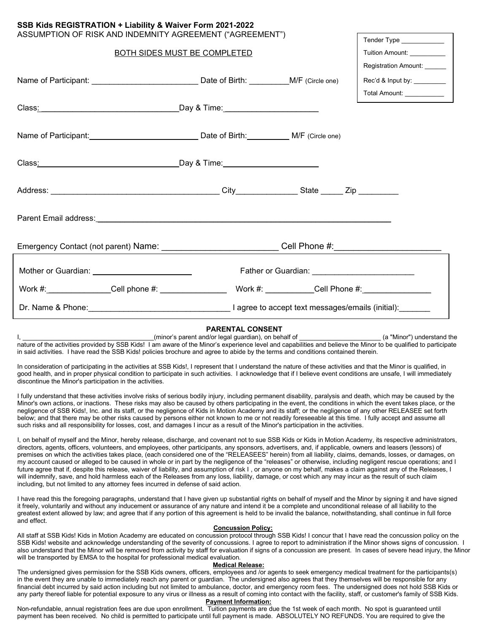| ASSUMPTION OF RISK AND INDEMNITY AGREEMENT ("AGREEMENT")<br>Tender Type _____________                          |                                                 |  |                             |
|----------------------------------------------------------------------------------------------------------------|-------------------------------------------------|--|-----------------------------|
|                                                                                                                | BOTH SIDES MUST BE COMPLETED                    |  | Tuition Amount: ___________ |
|                                                                                                                |                                                 |  | Registration Amount: ______ |
|                                                                                                                |                                                 |  | Rec'd & Input by: _________ |
|                                                                                                                |                                                 |  | Total Amount: ___________   |
|                                                                                                                |                                                 |  |                             |
|                                                                                                                |                                                 |  |                             |
|                                                                                                                |                                                 |  |                             |
|                                                                                                                |                                                 |  |                             |
|                                                                                                                |                                                 |  |                             |
|                                                                                                                |                                                 |  |                             |
|                                                                                                                |                                                 |  |                             |
|                                                                                                                |                                                 |  |                             |
|                                                                                                                |                                                 |  |                             |
|                                                                                                                |                                                 |  |                             |
| Emergency Contact (not parent) Name: ____________________________Cell Phone #:____________________________     |                                                 |  |                             |
| Mother or Guardian: University of Australian Control of Australian Control of Australian Control of Australian | Father or Guardian: ___________________________ |  |                             |
|                                                                                                                |                                                 |  |                             |
|                                                                                                                |                                                 |  |                             |
|                                                                                                                |                                                 |  |                             |

**SSB Kids REGISTRATION + Liability & Waiver Form 2021-2022**

## **PARENTAL CONSENT**

I, the same of the controller and and the set of legal guardian), on behalf of the state of the state (a "Minor") understand the state of the state of the state of the state of the state of the state of the state of the st nature of the activities provided by SSB Kids! I am aware of the Minor's experience level and capabilities and believe the Minor to be qualified to participate in said activities. I have read the SSB Kids! policies brochure and agree to abide by the terms and conditions contained therein.

In consideration of participating in the activities at SSB Kids!, I represent that I understand the nature of these activities and that the Minor is qualified, in good health, and in proper physical condition to participate in such activities. I acknowledge that if I believe event conditions are unsafe, I will immediately discontinue the Minor's participation in the activities.

I fully understand that these activities involve risks of serious bodily injury, including permanent disability, paralysis and death, which may be caused by the Minor's own actions, or inactions. These risks may also be caused by others participating in the event, the conditions in which the event takes place, or the negligence of SSB Kids!, Inc. and its staff, or the negligence of Kids in Motion Academy and its staff; or the negligence of any other RELEASEE set forth below; and that there may be other risks caused by persons either not known to me or not readily foreseeable at this time. I fully accept and assume all such risks and all responsibility for losses, cost, and damages I incur as a result of the Minor's participation in the activities.

I, on behalf of myself and the Minor, hereby release, discharge, and covenant not to sue SSB Kids or Kids in Motion Academy, its respective administrators, directors, agents, officers, volunteers, and employees, other participants, any sponsors, advertisers, and, if applicable, owners and leasers (lessors) of premises on which the activities takes place, (each considered one of the "RELEASEES" herein) from all liability, claims, demands, losses, or damages, on my account caused or alleged to be caused in whole or in part by the negligence of the "releases" or otherwise, including negligent rescue operations; and I future agree that if, despite this release, waiver of liability, and assumption of risk I, or anyone on my behalf, makes a claim against any of the Releases, I will indemnify, save, and hold harmless each of the Releases from any loss, liability, damage, or cost which any may incur as the result of such claim including, but not limited to any attorney fees incurred in defense of said action.

I have read this the foregoing paragraphs, understand that I have given up substantial rights on behalf of myself and the Minor by signing it and have signed it freely, voluntarily and without any inducement or assurance of any nature and intend it be a complete and unconditional release of all liability to the greatest extent allowed by law; and agree that if any portion of this agreement is held to be invalid the balance, notwithstanding, shall continue in full force and effect.

#### **Concussion Policy:**

All staff at SSB Kids! Kids in Motion Academy are educated on concussion protocol through SSB Kids! I concur that I have read the concussion policy on the SSB Kids! website and acknowledge understanding of the severity of concussions. I agree to report to administration if the Minor shows signs of concussion. I also understand that the Minor will be removed from activity by staff for evaluation if signs of a concussion are present. In cases of severe head injury, the Minor will be transported by EMSA to the hospital for professional medical evaluation.

# **Medical Release:**

The undersigned gives permission for the SSB Kids owners, officers, employees and /or agents to seek emergency medical treatment for the participants(s) in the event they are unable to immediately reach any parent or guardian. The undersigned also agrees that they themselves will be responsible for any financial debt incurred by said action including but not limited to ambulance, doctor, and emergency room fees. The undersigned does not hold SSB Kids or any party thereof liable for potential exposure to any virus or illness as a result of coming into contact with the facility, staff, or customer's family of SSB Kids. **Payment Information:**

Non-refundable, annual registration fees are due upon enrollment. Tuition payments are due the 1st week of each month. No spot is guaranteed until payment has been received. No child is permitted to participate until full payment is made. ABSOLUTELY NO REFUNDS. You are required to give the